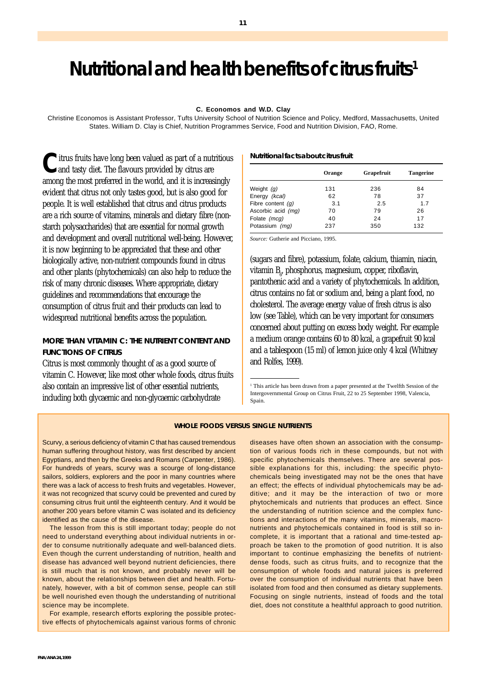# **Nutritional and health benefits of citrus fruits1**

#### **C. Economos and W.D. Clay**

Christine Economos is Assistant Professor, Tufts University School of Nutrition Science and Policy, Medford, Massachusetts, United States. William D. Clay is Chief, Nutrition Programmes Service, Food and Nutrition Division, FAO, Rome.

**C**itrus fruits have long been valued as part of a nutritious<br>and tasty diet. The flavours provided by citrus are among the most preferred in the world, and it is increasingly evident that citrus not only tastes good, but is also good for people. It is well established that citrus and citrus products are a rich source of vitamins, minerals and dietary fibre (nonstarch polysaccharides) that are essential for normal growth and development and overall nutritional well-being. However, it is now beginning to be appreciated that these and other biologically active, non-nutrient compounds found in citrus and other plants (phytochemicals) can also help to reduce the risk of many chronic diseases. Where appropriate, dietary guidelines and recommendations that encourage the consumption of citrus fruit and their products can lead to widespread nutritional benefits across the population.

# **MORE THAN VITAMIN C: THE NUTRIENT CONTENT AND FUNCTIONS OF CITRUS**

Citrus is most commonly thought of as a good source of vitamin C. However, like most other whole foods, citrus fruits also contain an impressive list of other essential nutrients, including both glycaemic and non-glycaemic carbohydrate

#### **Nutritional facts about citrus fruit**

|                     | Orange | Grapefruit | <b>Tangerine</b> |
|---------------------|--------|------------|------------------|
| Weight $(q)$        | 131    | 236        | 84               |
| Energy (kcal)       | 62     | 78         | 37               |
| Fibre content $(q)$ | 3.1    | 2.5        | 1.7              |
| Ascorbic acid (mq)  | 70     | 79         | 26               |
| Folate (mcg)        | 40     | 24         | 17               |
| Potassium (mg)      | 237    | 350        | 132              |

*Source:* Gutherie and Picciano, 1995.

(sugars and fibre), potassium, folate, calcium, thiamin, niacin, vitamin B<sub>6</sub>, phosphorus, magnesium, copper, ribotlavin, pantothenic acid and a variety of phytochemicals. In addition, citrus contains no fat or sodium and, being a plant food, no cholesterol. The average energy value of fresh citrus is also low (see Table), which can be very important for consumers concerned about putting on excess body weight. For example a medium orange contains 60 to 80 kcal, a grapefruit 90 kcal and a tablespoon (15 ml) of lemon juice only 4 kcal (Whitney and Rolfes, 1999).

#### **WHOLE FOODS VERSUS SINGLE NUTRIENTS**

Scurvy, a serious deficiency of vitamin C that has caused tremendous human suffering throughout history, was first described by ancient Egyptians, and then by the Greeks and Romans (Carpenter, 1986). For hundreds of years, scurvy was a scourge of long-distance sailors, soldiers, explorers and the poor in many countries where there was a lack of access to fresh fruits and vegetables. However, it was not recognized that scurvy could be prevented and cured by consuming citrus fruit until the eighteenth century. And it would be another 200 years before vitamin C was isolated and its deficiency identified as the cause of the disease.

The lesson from this is still important today; people do not need to understand everything about individual nutrients in order to consume nutritionally adequate and well-balanced diets. Even though the current understanding of nutrition, health and disease has advanced well beyond nutrient deficiencies, there is still much that is not known, and probably never will be known, about the relationships between diet and health. Fortunately, however, with a bit of common sense, people can still be well nourished even though the understanding of nutritional science may be incomplete.

For example, research efforts exploring the possible protective effects of phytochemicals against various forms of chronic diseases have often shown an association with the consumption of various foods rich in these compounds, but not with specific phytochemicals themselves. There are several possible explanations for this, including: the specific phytochemicals being investigated may not be the ones that have an effect; the effects of individual phytochemicals may be additive; and it may be the interaction of two or more phytochemicals and nutrients that produces an effect. Since the understanding of nutrition science and the complex functions and interactions of the many vitamins, minerals, macronutrients and phytochemicals contained in food is still so incomplete, it is important that a rational and time-tested approach be taken to the promotion of good nutrition. It is also important to continue emphasizing the benefits of nutrientdense foods, such as citrus fruits, and to recognize that the consumption of whole foods and natural juices is preferred over the consumption of individual nutrients that have been isolated from food and then consumed as dietary supplements. Focusing on single nutrients, instead of foods and the total diet, does not constitute a healthful approach to good nutrition.

<sup>&</sup>lt;sup>1</sup> This article has been drawn from a paper presented at the Twelfth Session of the Intergovernmental Group on Citrus Fruit, 22 to 25 September 1998, Valencia, Spain.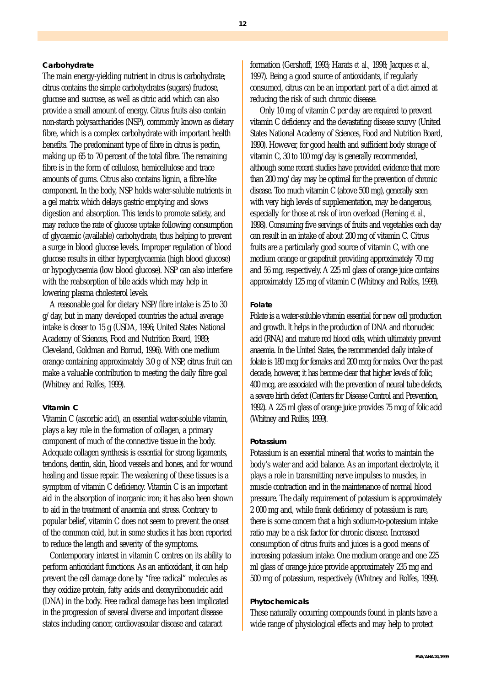## **Carbohydrate**

The main energy-yielding nutrient in citrus is carbohydrate; citrus contains the simple carbohydrates (sugars) fructose, glucose and sucrose, as well as citric acid which can also provide a small amount of energy. Citrus fruits also contain non-starch polysaccharides (NSP), commonly known as dietary fibre, which is a complex carbohydrate with important health benefits. The predominant type of fibre in citrus is pectin, making up 65 to 70 percent of the total fibre. The remaining fibre is in the form of cellulose, hemicellulose and trace amounts of gums. Citrus also contains lignin, a fibre-like component. In the body, NSP holds water-soluble nutrients in a gel matrix which delays gastric emptying and slows digestion and absorption. This tends to promote satiety, and may reduce the rate of glucose uptake following consumption of glycaemic (available) carbohydrate, thus helping to prevent a surge in blood glucose levels. Improper regulation of blood glucose results in either hyperglycaemia (high blood glucose) or hypoglycaemia (low blood glucose). NSP can also interfere with the reabsorption of bile acids which may help in lowering plasma cholesterol levels.

A reasonable goal for dietary NSP/fibre intake is 25 to 30 g/day, but in many developed countries the actual average intake is closer to 15 g (USDA, 1996; United States National Academy of Sciences, Food and Nutrition Board, 1989; Cleveland, Goldman and Borrud, 1996). With one medium orange containing approximately 3.0 g of NSP, citrus fruit can make a valuable contribution to meeting the daily fibre goal (Whitney and Rolfes, 1999).

# **Vitamin C**

Vitamin C (ascorbic acid), an essential water-soluble vitamin, plays a key role in the formation of collagen, a primary component of much of the connective tissue in the body. Adequate collagen synthesis is essential for strong ligaments, tendons, dentin, skin, blood vessels and bones, and for wound healing and tissue repair. The weakening of these tissues is a symptom of vitamin C deficiency. Vitamin C is an important aid in the absorption of inorganic iron; it has also been shown to aid in the treatment of anaemia and stress. Contrary to popular belief, vitamin C does not seem to prevent the onset of the common cold, but in some studies it has been reported to reduce the length and severity of the symptoms.

Contemporary interest in vitamin C centres on its ability to perform antioxidant functions. As an antioxidant, it can help prevent the cell damage done by "free radical" molecules as they oxidize protein, fatty acids and deoxyribonucleic acid (DNA) in the body. Free radical damage has been implicated in the progression of several diverse and important disease states including cancer, cardiovascular disease and cataract

formation (Gershoff, 1993; Harats *et al.,* 1998; Jacques *et al.,* 1997). Being a good source of antioxidants, if regularly consumed, citrus can be an important part of a diet aimed at reducing the risk of such chronic disease.

 Only 10 mg of vitamin C per day are required to prevent vitamin C deficiency and the devastating disease scurvy (United States National Academy of Sciences, Food and Nutrition Board, 1990). However, for good health and sufficient body storage of vitamin C, 30 to 100 mg/day is generally recommended, although some recent studies have provided evidence that more than 200 mg/day may be optimal for the prevention of chronic disease. Too much vitamin C (above 500 mg), generally seen with very high levels of supplementation, may be dangerous, especially for those at risk of iron overload (Fleming *et al.,* 1998). Consuming five servings of fruits and vegetables each day can result in an intake of about 200 mg of vitamin C. Citrus fruits are a particularly good source of vitamin C, with one medium orange or grapefruit providing approximately 70 mg and 56 mg, respectively. A 225 ml glass of orange juice contains approximately 125 mg of vitamin C (Whitney and Rolfes, 1999).

# **Folate**

Folate is a water-soluble vitamin essential for new cell production and growth. It helps in the production of DNA and ribonucleic acid (RNA) and mature red blood cells, which ultimately prevent anaemia. In the United States, the recommended daily intake of folate is 180 mcg for females and 200 mcg for males. Over the past decade, however, it has become clear that higher levels of folic, 400 mcg, are associated with the prevention of neural tube defects, a severe birth defect (Centers for Disease Control and Prevention, 1992). A 225 ml glass of orange juice provides 75 mcg of folic acid (Whitney and Rolfes, 1999).

## **Potassium**

Potassium is an essential mineral that works to maintain the body's water and acid balance. As an important electrolyte, it plays a role in transmitting nerve impulses to muscles, in muscle contraction and in the maintenance of normal blood pressure. The daily requirement of potassium is approximately 2 000 mg and, while frank deficiency of potassium is rare, there is some concern that a high sodium-to-potassium intake ratio may be a risk factor for chronic disease. Increased consumption of citrus fruits and juices is a good means of increasing potassium intake. One medium orange and one 225 ml glass of orange juice provide approximately 235 mg and 500 mg of potassium, respectively (Whitney and Rolfes, 1999).

#### **Phytochemicals**

These naturally occurring compounds found in plants have a wide range of physiological effects and may help to protect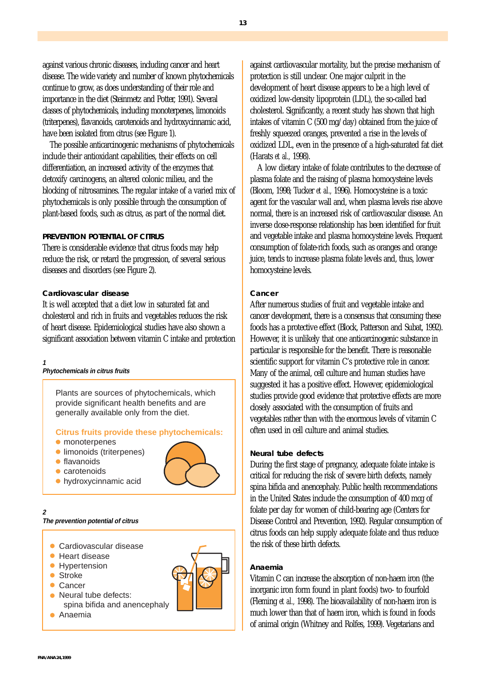against various chronic diseases, including cancer and heart disease. The wide variety and number of known phytochemicals continue to grow, as does understanding of their role and importance in the diet (Steinmetz and Potter, 1991). Several classes of phytochemicals, including monoterpenes, limonoids (triterpenes), flavanoids, carotenoids and hydroxycinnamic acid, have been isolated from citrus (see Figure 1).

The possible anticarcinogenic mechanisms of phytochemicals include their antioxidant capabilities, their effects on cell differentiation, an increased activity of the enzymes that detoxify carcinogens, an altered colonic milieu, and the blocking of nitrosamines. The regular intake of a varied mix of phytochemicals is only possible through the consumption of plant-based foods, such as citrus, as part of the normal diet.

# **PREVENTION POTENTIAL OF CITRUS**

There is considerable evidence that citrus foods may help reduce the risk, or retard the progression, of several serious diseases and disorders (see Figure 2).

## **Cardiovascular disease**

It is well accepted that a diet low in saturated fat and cholesterol and rich in fruits and vegetables reduces the risk of heart disease. Epidemiological studies have also shown a significant association between vitamin C intake and protection

#### **1 Phytochemicals in citrus fruits**

Plants are sources of phytochemicals, which provide significant health benefits and are generally available only from the diet.

#### **Citrus fruits provide these phytochemicals:**

- monoterpenes
- limonoids (triterpenes)
- flavanoids
- carotenoids
- 
- hydroxycinnamic acid

# **The prevention potential of citrus**

- Cardiovascular disease
- Heart disease
- Hypertension
- Stroke
- Cancer

**2**

- Neural tube defects: spina bifida and anencephaly
- Anaemia



against cardiovascular mortality, but the precise mechanism of protection is still unclear. One major culprit in the development of heart disease appears to be a high level of oxidized low-density lipoprotein (LDL), the so-called bad cholesterol. Significantly, a recent study has shown that high intakes of vitamin C (500 mg/day) obtained from the juice of freshly squeezed oranges, prevented a rise in the levels of oxidized LDL, even in the presence of a high-saturated fat diet (Harats *et al.,* 1998).

A low dietary intake of folate contributes to the decrease of plasma folate and the raising of plasma homocysteine levels (Bloom, 1998; Tucker *et al.,* 1996). Homocysteine is a toxic agent for the vascular wall and, when plasma levels rise above normal, there is an increased risk of cardiovascular disease. An inverse dose-response relationship has been identified for fruit and vegetable intake and plasma homocysteine levels. Frequent consumption of folate-rich foods, such as oranges and orange juice, tends to increase plasma folate levels and, thus, lower homocysteine levels.

#### **Cancer**

After numerous studies of fruit and vegetable intake and cancer development, there is a consensus that consuming these foods has a protective effect (Block, Patterson and Subat, 1992). However, it is unlikely that one anticarcinogenic substance in particular is responsible for the benefit. There is reasonable scientific support for vitamin C's protective role in cancer. Many of the animal, cell culture and human studies have suggested it has a positive effect. However, epidemiological studies provide good evidence that protective effects are more closely associated with the consumption of fruits and vegetables rather than with the enormous levels of vitamin C often used in cell culture and animal studies.

#### **Neural tube defects**

During the first stage of pregnancy, adequate folate intake is critical for reducing the risk of severe birth defects, namely spina bifida and anencephaly. Public health recommendations in the United States include the consumption of 400 mcg of folate per day for women of child-bearing age (Centers for Disease Control and Prevention, 1992). Regular consumption of citrus foods can help supply adequate folate and thus reduce the risk of these birth defects.

#### **Anaemia**

Vitamin C can increase the absorption of non-haem iron (the inorganic iron form found in plant foods) two- to fourfold (Fleming *et al.,* 1998). The bioavailability of non-haem iron is much lower than that of haem iron, which is found in foods of animal origin (Whitney and Rolfes, 1999). Vegetarians and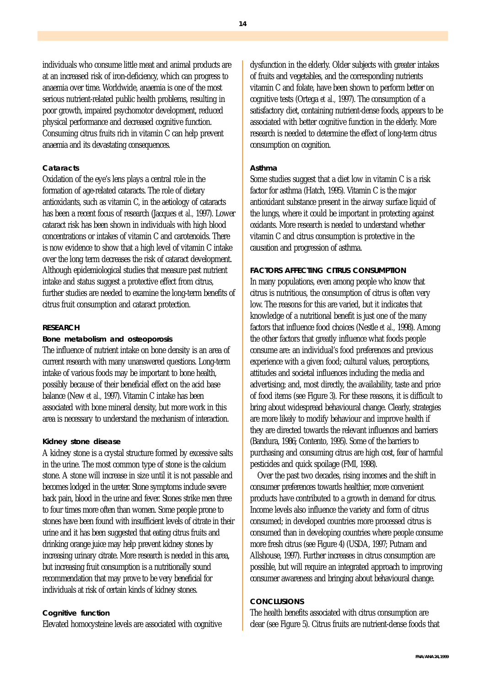individuals who consume little meat and animal products are at an increased risk of iron-deficiency, which can progress to anaemia over time. Worldwide, anaemia is one of the most serious nutrient-related public health problems, resulting in poor growth, impaired psychomotor development, reduced physical performance and decreased cognitive function. Consuming citrus fruits rich in vitamin C can help prevent anaemia and its devastating consequences.

## **Cataracts**

Oxidation of the eye's lens plays a central role in the formation of age-related cataracts. The role of dietary antioxidants, such as vitamin C, in the aetiology of cataracts has been a recent focus of research (Jacques *et al.,* 1997). Lower cataract risk has been shown in individuals with high blood concentrations or intakes of vitamin C and carotenoids. There is now evidence to show that a high level of vitamin C intake over the long term decreases the risk of cataract development. Although epidemiological studies that measure past nutrient intake and status suggest a protective effect from citrus, further studies are needed to examine the long-term benefits of citrus fruit consumption and cataract protection.

## **RESEARCH**

#### **Bone metabolism and osteoporosis**

The influence of nutrient intake on bone density is an area of current research with many unanswered questions. Long-term intake of various foods may be important to bone health, possibly because of their beneficial effect on the acid base balance (New *et al.,* 1997). Vitamin C intake has been associated with bone mineral density, but more work in this area is necessary to understand the mechanism of interaction.

# **Kidney stone disease**

A kidney stone is a crystal structure formed by excessive salts in the urine. The most common type of stone is the calcium stone. A stone will increase in size until it is not passable and becomes lodged in the ureter. Stone symptoms include severe back pain, blood in the urine and fever. Stones strike men three to four times more often than women. Some people prone to stones have been found with insufficient levels of citrate in their urine and it has been suggested that eating citrus fruits and drinking orange juice may help prevent kidney stones by increasing urinary citrate. More research is needed in this area, but increasing fruit consumption is a nutritionally sound recommendation that may prove to be very beneficial for individuals at risk of certain kinds of kidney stones.

#### **Cognitive function**

Elevated homocysteine levels are associated with cognitive

dysfunction in the elderly. Older subjects with greater intakes of fruits and vegetables, and the corresponding nutrients vitamin C and folate, have been shown to perform better on cognitive tests (Ortega *et al.,* 1997). The consumption of a satisfactory diet, containing nutrient-dense foods, appears to be associated with better cognitive function in the elderly. More research is needed to determine the effect of long-term citrus consumption on cognition.

#### **Asthma**

Some studies suggest that a diet low in vitamin C is a risk factor for asthma (Hatch, 1995). Vitamin C is the major antioxidant substance present in the airway surface liquid of the lungs, where it could be important in protecting against oxidants. More research is needed to understand whether vitamin C and citrus consumption is protective in the causation and progression of asthma.

#### **FACTORS AFFECTING CITRUS CONSUMPTION**

In many populations, even among people who know that citrus is nutritious, the consumption of citrus is often very low. The reasons for this are varied, but it indicates that knowledge of a nutritional benefit is just one of the many factors that influence food choices (Nestle *et al.,* 1998). Among the other factors that greatly influence what foods people consume are: an individual's food preferences and previous experience with a given food; cultural values, perceptions, attitudes and societal influences including the media and advertising; and, most directly, the availability, taste and price of food items (see Figure 3). For these reasons, it is difficult to bring about widespread behavioural change. Clearly, strategies are more likely to modify behaviour and improve health if they are directed towards the relevant influences and barriers (Bandura, 1986; Contento, 1995). Some of the barriers to purchasing and consuming citrus are high cost, fear of harmful pesticides and quick spoilage (FMI, 1998).

Over the past two decades, rising incomes and the shift in consumer preferences towards healthier, more convenient products have contributed to a growth in demand for citrus. Income levels also influence the variety and form of citrus consumed; in developed countries more processed citrus is consumed than in developing countries where people consume more fresh citrus (see Figure 4) (USDA, 1997; Putnam and Allshouse, 1997). Further increases in citrus consumption are possible, but will require an integrated approach to improving consumer awareness and bringing about behavioural change.

# **CONCLUSIONS**

The health benefits associated with citrus consumption are clear (see Figure 5). Citrus fruits are nutrient-dense foods that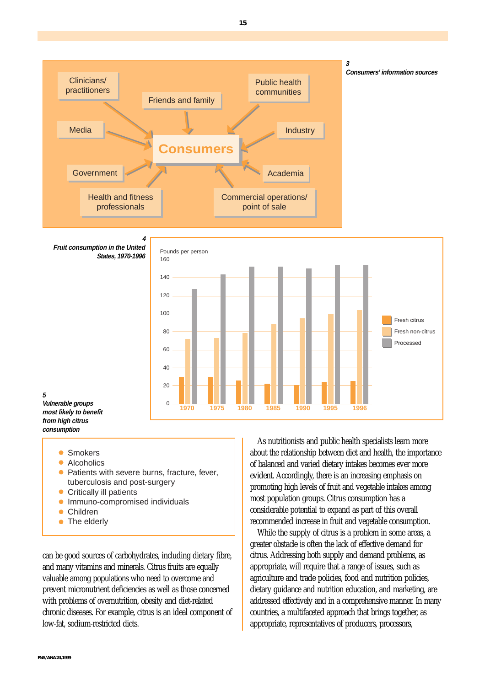

**<sup>5</sup> 4 Fruit consumption in the United States, 1970-1996** Fresh citrus Fresh non-citrus Processed **1970 1975 1980 1985 1990 1995 1996** Pounds per person 160  $140$ 120 100 80  $60$  $40$  $20$  $\Omega$ 

- **Vulnerable groups most likely to benefit from high citrus consumption**
	- Smokers
	- Alcoholics
	- Patients with severe burns, fracture, fever, tuberculosis and post-surgery
	- Critically ill patients
	- **Immuno-compromised individuals**
	- Children
	- The elderly

can be good sources of carbohydrates, including dietary fibre, and many vitamins and minerals. Citrus fruits are equally valuable among populations who need to overcome and prevent micronutrient deficiencies as well as those concerned with problems of overnutrition, obesity and diet-related chronic diseases. For example, citrus is an ideal component of low-fat, sodium-restricted diets.

As nutritionists and public health specialists learn more about the relationship between diet and health, the importance of balanced and varied dietary intakes becomes ever more evident. Accordingly, there is an increasing emphasis on promoting high levels of fruit and vegetable intakes among most population groups. Citrus consumption has a considerable potential to expand as part of this overall recommended increase in fruit and vegetable consumption.

While the supply of citrus is a problem in some areas, a greater obstacle is often the lack of effective demand for citrus. Addressing both supply and demand problems, as appropriate, will require that a range of issues, such as agriculture and trade policies, food and nutrition policies, dietary guidance and nutrition education, and marketing, are addressed effectively and in a comprehensive manner. In many countries, a multifaceted approach that brings together, as appropriate, representatives of producers, processors,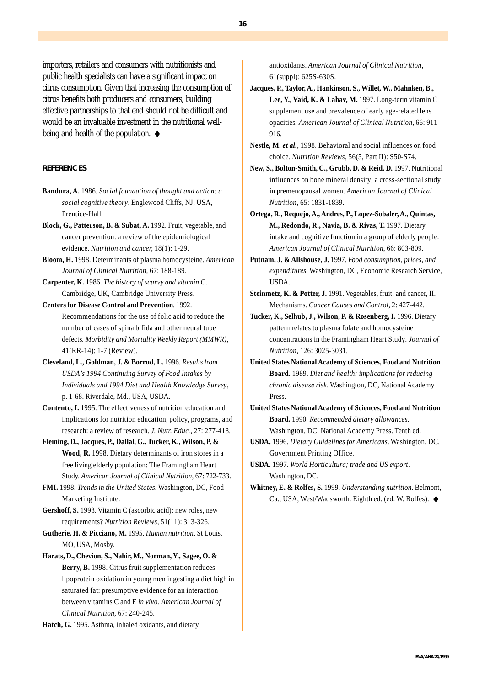importers, retailers and consumers with nutritionists and public health specialists can have a significant impact on citrus consumption. Given that increasing the consumption of citrus benefits both producers and consumers, building effective partnerships to that end should not be difficult and would be an invaluable investment in the nutritional wellbeing and health of the population. ◆

#### **REFERENCES**

- **Bandura, A.** 1986. *Social foundation of thought and action: a social cognitive theory*. Englewood Cliffs, NJ, USA, Prentice-Hall.
- **Block, G., Patterson, B. & Subat, A.** 1992. Fruit, vegetable, and cancer prevention: a review of the epidemiological evidence. *Nutrition and cancer,* 18(1): 1-29.
- **Bloom, H.** 1998. Determinants of plasma homocysteine. *American Journal of Clinical Nutrition*, 67: 188-189.
- **Carpenter, K.** 1986. *The history of scurvy and vitamin C*. Cambridge, UK, Cambridge University Press.
- **Centers for Disease Control and Prevention**. 1992. Recommendations for the use of folic acid to reduce the number of cases of spina bifida and other neural tube defects*. Morbidity and Mortality Weekly Report (MMWR),* 41(RR-14): 1-7 (Review).
- **Cleveland, L., Goldman, J. & Borrud, L.** 1996. *Results from USDA's 1994 Continuing Survey of Food Intakes by Individuals and 1994 Diet and Health Knowledge Survey*, p. 1-68. Riverdale, Md., USA, USDA.
- **Contento, I.** 1995. The effectiveness of nutrition education and implications for nutrition education, policy, programs, and research: a review of research. *J. Nutr. Educ.,* 27: 277-418.
- **Fleming, D., Jacques, P., Dallal, G., Tucker, K., Wilson, P. & Wood, R.** 1998. Dietary determinants of iron stores in a free living elderly population: The Framingham Heart Study. *American Journal of Clinical Nutrition,* 67: 722-733.
- **FMI.** 1998. *Trends in the United States.* Washington, DC, Food Marketing Institute.
- **Gershoff, S.** 1993. Vitamin C (ascorbic acid): new roles, new requirements? *Nutrition Reviews,* 51(11): 313-326.

**Gutherie, H. & Picciano, M.** 1995. *Human nutrition*. St Louis, MO, USA, Mosby.

**Harats, D., Chevion, S., Nahir, M., Norman, Y., Sagee, O. & Berry, B.** 1998. Citrus fruit supplementation reduces lipoprotein oxidation in young men ingesting a diet high in saturated fat: presumptive evidence for an interaction between vitamins C and E *in vivo. American Journal of Clinical Nutrition*, 67: 240-245.

**Hatch, G.** 1995. Asthma, inhaled oxidants, and dietary

antioxidants. *American Journal of Clinical Nutrition*, 61(suppl): 625S-630S.

- **Jacques, P., Taylor, A., Hankinson, S., Willet, W., Mahnken, B., Lee, Y., Vaid, K. & Lahav, M.** 1997. Long-term vitamin C supplement use and prevalence of early age-related lens opacities*. American Journal of Clinical Nutrition*, 66: 911- 916.
- **Nestle, M.** *et al.*, 1998. Behavioral and social influences on food choice. *Nutrition Reviews*, 56(5, Part II): S50-S74.
- **New, S., Bolton-Smith, C., Grubb, D. & Reid, D.** 1997. Nutritional influences on bone mineral density; a cross-sectional study in premenopausal women. *American Journal of Clinical Nutrition*, 65: 1831-1839.
- **Ortega, R., Requejo, A., Andres, P., Lopez-Sobaler, A., Quintas, M., Redondo, R., Navia, B. & Rivas, T.** 1997. Dietary intake and cognitive function in a group of elderly people*. American Journal of Clinical Nutrition*, 66: 803-809.
- **Putnam, J. & Allshouse, J.** 1997. *Food consumption, prices, and expenditures*. Washington, DC, Economic Research Service, USDA.
- **Steinmetz, K. & Potter, J.** 1991. Vegetables, fruit, and cancer, II. Mechanisms*. Cancer Causes and Control*, 2: 427-442.
- **Tucker, K., Selhub, J., Wilson, P. & Rosenberg, I.** 1996. Dietary pattern relates to plasma folate and homocysteine concentrations in the Framingham Heart Study*. Journal of Nutrition*, 126: 3025-3031.
- **United States National Academy of Sciences, Food and Nutrition Board.** 1989. *Diet and health: implications for reducing chronic disease risk*. Washington, DC, National Academy Press.
- **United States National Academy of Sciences, Food and Nutrition Board.** 1990. *Recommended dietary allowances*. Washington, DC, National Academy Press. Tenth ed.
- **USDA.** 1996. *Dietary Guidelines for Americans*. Washington, DC, Government Printing Office.
- **USDA.** 1997. *World Horticultura; trade and US export*. Washington, DC.
- **Whitney, E. & Rolfes, S.** 1999. *Understanding nutrition*. Belmont, Ca., USA, West/Wadsworth. Eighth ed. (ed. W. Rolfes). ◆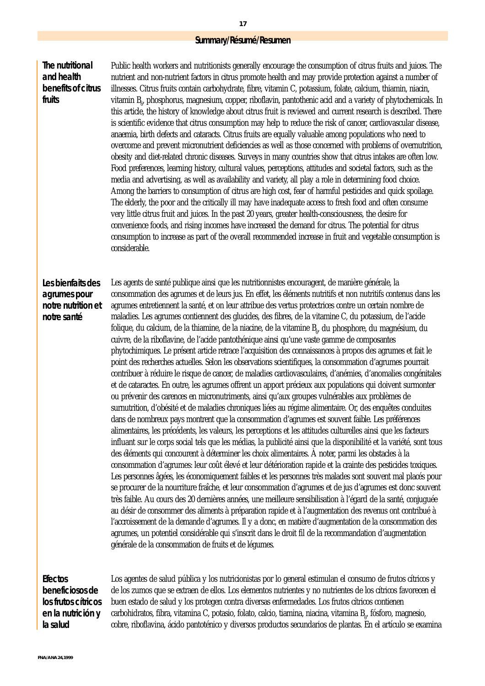## **Summary/Résumé/Resumen**

**The nutritional and health benefits of citrus fruits**

Public health workers and nutritionists generally encourage the consumption of citrus fruits and juices. The nutrient and non-nutrient factors in citrus promote health and may provide protection against a number of illnesses. Citrus fruits contain carbohydrate, fibre, vitamin C, potassium, folate, calcium, thiamin, niacin, vitamin B<sub>8</sub>, phosphorus, magnesium, copper, ribotlavin, pantothenic acid and a variety of phytochemicals. In this article, the history of knowledge about citrus fruit is reviewed and current research is described. There is scientific evidence that citrus consumption may help to reduce the risk of cancer, cardiovascular disease, anaemia, birth defects and cataracts. Citrus fruits are equally valuable among populations who need to overcome and prevent micronutrient deficiencies as well as those concerned with problems of overnutrition, obesity and diet-related chronic diseases. Surveys in many countries show that citrus intakes are often low. Food preferences, learning history, cultural values, perceptions, attitudes and societal factors, such as the media and advertising, as well as availability and variety, all play a role in determining food choice. Among the barriers to consumption of citrus are high cost, fear of harmful pesticides and quick spoilage. The elderly, the poor and the critically ill may have inadequate access to fresh food and often consume very little citrus fruit and juices. In the past 20 years, greater health-consciousness, the desire for convenience foods, and rising incomes have increased the demand for citrus. The potential for citrus consumption to increase as part of the overall recommended increase in fruit and vegetable consumption is considerable.

# **Les bienfaits des agrumes pour notre nutrition et notre santé**

Les agents de santé publique ainsi que les nutritionnistes encouragent, de manière générale, la consommation des agrumes et de leurs jus. En effet, les éléments nutritifs et non nutritifs contenus dans les agrumes entretiennent la santé, et on leur attribue des vertus protectrices contre un certain nombre de maladies. Les agrumes contiennent des glucides, des fibres, de la vitamine C, du potassium, de l'acide folique, du calcium, de la thiamine, de la niacine, de la vitamine B<sub>6</sub>, du phosphore, du magnésium, du cuivre, de la riboflavine, de l'acide pantothénique ainsi qu'une vaste gamme de composantes phytochimiques. Le présent article retrace l'acquisition des connaissances à propos des agrumes et fait le point des recherches actuelles. Selon les observations scientifiques, la consommation d'agrumes pourrait contribuer à réduire le risque de cancer, de maladies cardiovasculaires, d'anémies, d'anomalies congénitales et de cataractes. En outre, les agrumes offrent un apport précieux aux populations qui doivent surmonter ou prévenir des carences en micronutriments, ainsi qu'aux groupes vulnérables aux problèmes de surnutrition, d'obésité et de maladies chroniques liées au régime alimentaire. Or, des enquêtes conduites dans de nombreux pays montrent que la consommation d'agrumes est souvent faible. Les préférences alimentaires, les précédents, les valeurs, les perceptions et les attitudes culturelles ainsi que les facteurs influant sur le corps social tels que les médias, la publicité ainsi que la disponibilité et la variété, sont tous des éléments qui concourent à déterminer les choix alimentaires. À noter, parmi les obstacles à la consommation d'agrumes: leur coût élevé et leur détérioration rapide et la crainte des pesticides toxiques. Les personnes âgées, les économiquement faibles et les personnes très malades sont souvent mal placés pour se procurer de la nourriture fraîche, et leur consommation d'agrumes et de jus d'agrumes est donc souvent très faible. Au cours des 20 dernières années, une meilleure sensibilisation à l'égard de la santé, conjuguée au désir de consommer des aliments à préparation rapide et à l'augmentation des revenus ont contribué à l'accroissement de la demande d'agrumes. Il y a donc, en matière d'augmentation de la consommation des agrumes, un potentiel considérable qui s'inscrit dans le droit fil de la recommandation d'augmentation générale de la consommation de fruits et de légumes.

**Efectos beneficiosos de los frutos cítricos en la nutrición y la salud**

Los agentes de salud pública y los nutricionistas por lo general estimulan el consumo de frutos cítricos y de los zumos que se extraen de ellos. Los elementos nutrientes y no nutrientes de los cítricos favorecen el buen estado de salud y los protegen contra diversas enfermedades. Los frutos cítricos contienen carbohidratos, fibra, vitamina C, potasio, folato, calcio, tiamina, niacina, vitamina B $_{\rm g}$ , fósforo, magnesio, cobre, riboflavina, ácido pantoténico y diversos productos secundarios de plantas. En el artículo se examina